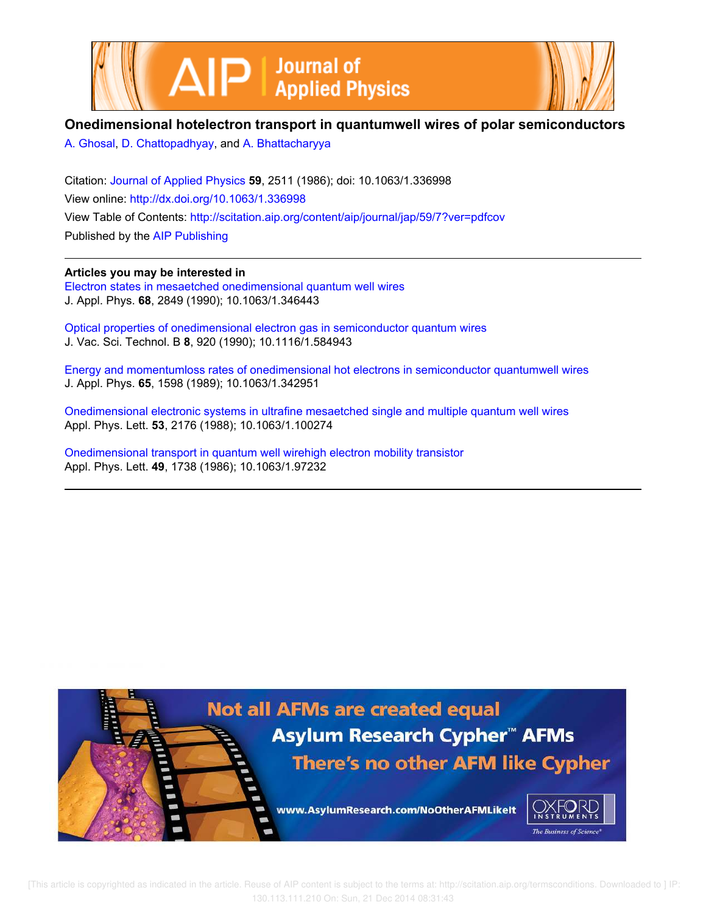



## **Onedimensional hotelectron transport in quantumwell wires of polar semiconductors**

A. Ghosal, D. Chattopadhyay, and A. Bhattacharyya

Citation: Journal of Applied Physics **59**, 2511 (1986); doi: 10.1063/1.336998 View online: http://dx.doi.org/10.1063/1.336998 View Table of Contents: http://scitation.aip.org/content/aip/journal/jap/59/7?ver=pdfcov Published by the AIP Publishing

**Articles you may be interested in**

Electron states in mesaetched onedimensional quantum well wires J. Appl. Phys. **68**, 2849 (1990); 10.1063/1.346443

Optical properties of onedimensional electron gas in semiconductor quantum wires J. Vac. Sci. Technol. B **8**, 920 (1990); 10.1116/1.584943

Energy and momentumloss rates of onedimensional hot electrons in semiconductor quantumwell wires J. Appl. Phys. **65**, 1598 (1989); 10.1063/1.342951

Onedimensional electronic systems in ultrafine mesaetched single and multiple quantum well wires Appl. Phys. Lett. **53**, 2176 (1988); 10.1063/1.100274

Onedimensional transport in quantum well wirehigh electron mobility transistor Appl. Phys. Lett. **49**, 1738 (1986); 10.1063/1.97232



 [This article is copyrighted as indicated in the article. Reuse of AIP content is subject to the terms at: http://scitation.aip.org/termsconditions. Downloaded to ] IP: 130.113.111.210 On: Sun, 21 Dec 2014 08:31:43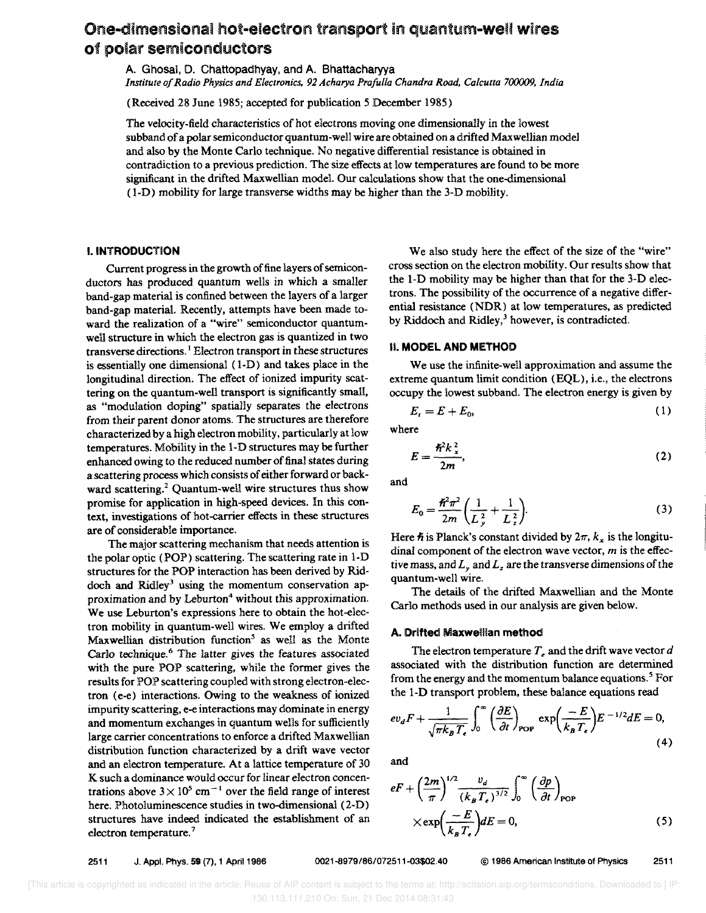# One-dimensional hot-electron transport in quantum-well wires of polar semiconductors

A. Ghosal, D. Chattopadhyay, and A. Bhattacharyya *Institute of Radio Physics and Electronics.* 92 *Acharya Prafulla Chandra Road. Calcutta 700009. India* 

(Received 28 June 1985; accepted for publication 5 December 1985)

The velocity-field characteristics of hot electrons moving one dimensionally in the lowest subband of a polar semiconductor quantum-well wire are obtained on a drifted Maxwellian model and also by the Monte Carlo technique. No negative differential resistance is obtained in contradiction to a previous prediction. The size effects at low temperatures are found to be more significant in the drifted Maxwellian model. Our calculations show that the one-dimensional (I-D) mobility for large transverse widths may be higher than the 3-D mobility.

#### I. INTRODUCTION

Current progress in the growth of fine layers of semiconductors has produced quantum wells in which a smaller band-gap material is confined between the layers of a larger band-gap material. Recently, attempts have been made toward the realization of a "wire" semiconductor quantumwell structure in which the electron gas is quantized in two transverse directions. I Electron transport in these structures is essentially one dimensional (1-D) and takes place in the longitudinal direction. The effect of ionized impurity scattering on the quantum-well transport is significantly small, as "modulation doping" spatially separates the electrons from their parent donor atoms. The structures are therefore characterized by a high electron mobility, particularly at low temperatures. Mobility in the l-D structures may be further enhanced owing to the reduced number of final states during a scattering process which consists of either forward or backward scattering.<sup>2</sup> Quantum-well wire structures thus show promise for application in high-speed devices. In this context, investigations of hot-carrier effects in these structures are of considerable importance.

The major scattering mechanism that needs attention is the polar optic (POP) scattering. The scattering rate in 1-D structures for the POP interaction has been derived by Riddoch and Ridley<sup>3</sup> using the momentum conservation approximation and by Leburton<sup>4</sup> without this approximation. We use Leburton's expressions here to obtain the hot-electron mobility in quantum-well wires. We employ a drifted Maxwellian distribution function<sup>5</sup> as well as the Monte Carlo technique.<sup>6</sup> The latter gives the features associated with the pure POP scattering, while the former gives the results for POP scattering coupled with strong electron-electron (e-e) interactions. Owing to the weakness of ionized impurity scattering, e-e interactions may dominate in energy and momentum exchanges in quantum wells for sufficiently large carrier concentrations to enforce a drifted Maxwellian distribution function characterized by a drift wave vector and an electron temperature. At a lattice temperature of 30 K such a dominance would occur for linear electron concentrations above  $3 \times 10^5$  cm<sup>-1</sup> over the field range of interest here. Photoluminescence studies in two-dimensional (2-D) structures have indeed indicated the establishment of an electron temperature.<sup>7</sup>

We also study here the effect of the size of the "wire" cross section on the electron mobility. Our results show that the 1-D mobility may be higher than that for the 3-D electrons. The possibility of the occurrence of a negative differential resistance (NDR) at low temperatures, as predicted by Riddoch and Ridley,<sup>3</sup> however, is contradicted.

#### II. MODEL AND METHOD

We use the infinite-well approximation and assume the extreme quantum limit condition (EQL), i.e., the electrons occupy the lowest subband. The electron energy is given by

$$
E_t = E + E_0, \tag{1}
$$

where

$$
E = \frac{\hbar^2 k_x^2}{2m},\tag{2}
$$

and

$$
E_0 = \frac{\hbar^2 \pi^2}{2m} \left( \frac{1}{L_y^2} + \frac{1}{L_z^2} \right).
$$
 (3)

Here  $\hbar$  is Planck's constant divided by  $2\pi$ ,  $k_x$  is the longitudinal component of the electron wave vector, *m* is the effective mass, and  $L<sub>x</sub>$  and  $L<sub>z</sub>$  are the transverse dimensions of the quantum-well wire.

The details of the drifted Maxwellian and the Monte Carlo methods used in our analysis are given below.

#### A. Drifted Maxweillan method

The electron temperature  $T<sub>e</sub>$  and the drift wave vector  $d$ associated with the distribution function are determined from the energy and the momentum balance equations.<sup>5</sup> For the I-D transport problem, these balance equations read

$$
ev_{d}F + \frac{1}{\sqrt{\pi k_{B}T_{\epsilon}}} \int_{0}^{\infty} \left(\frac{\partial E}{\partial t}\right)_{\text{POP}} \exp\left(\frac{-E}{k_{B}T_{\epsilon}}\right) E^{-1/2} dE = 0,
$$
\n(4)

and

$$
eF + \left(\frac{2m}{\pi}\right)^{1/2} \frac{v_d}{(k_B T_e)^{3/2}} \int_0^\infty \left(\frac{\partial p}{\partial t}\right)_{\text{POP}} \times \exp\left(\frac{-E}{k_B T_e}\right) dE = 0,
$$
 (5)

2511 J. Appl. Phys. 59 (7), 1 April 1986 0021-8979/86/072511-03\$02,40 © 1986 American Institute of Physics 2511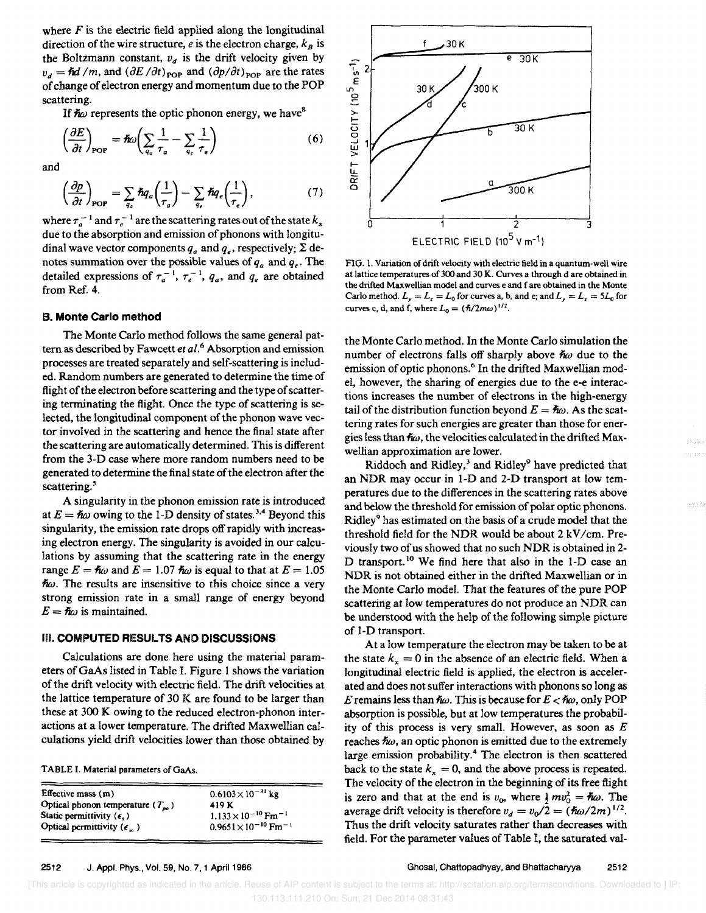where  $F$  is the electric field applied along the longitudinal direction of the wire structure, *e* is the electron charge,  $k_B$  is the Boltzmann constant,  $v_d$  is the drift velocity given by  $v_d = \hbar d / m$ , and  $(\partial E / \partial t)_{\text{pop}}$  and  $(\partial p / \partial t)_{\text{pop}}$  are the rates of cbange of electron energy and momentum due to the POP scattering.

If  $\hbar \omega$  represents the optic phonon energy, we have<sup>8</sup>

$$
\left(\frac{\partial E}{\partial t}\right)_{\text{POP}} = \hbar \omega \left(\sum_{q_a} \frac{1}{\tau_a} - \sum_{q_c} \frac{1}{\tau_e}\right) \tag{6}
$$

and

$$
\left(\frac{\partial p}{\partial t}\right)_{\text{POP}} = \sum_{q_a} \hbar q_a \left(\frac{1}{\tau_a}\right) - \sum_{q_c} \hbar q_c \left(\frac{1}{\tau_e}\right),\tag{7}
$$

where  $\tau_a^{-1}$  and  $\tau_e^{-1}$  are the scattering rates out of the state  $k_x$ due to the absorption and emission of phonons with longitudinal wave vector components  $q_a$  and  $q_a$ , respectively;  $\Sigma$  denotes summation over the possible values of  $q_a$  and  $q_e$ . The detailed expressions of  $\tau_a^{-1}$ ,  $\tau_e^{-1}$ ,  $q_a$ , and  $q_e$  are obtained from Ref. 4.

#### B. Monte Carlo method

The Monte Carlo method follows the same general pattern as described by Fawcett *et al.*<sup>6</sup> Absorption and emission processes are treated separately and self-scattering is included. Random numbers are generated to determine the time of flight of the electron before scattering and the type of scattering terminating the flight. Once the type of scattering is selected, the longitudinal component of the phonon wave vector involved in the scattering and hence the final state after the scattering are automatically determined. This is different from the 3-D case where more random numbers need to be generated to determine the final state of the electron after the scattering.<sup>5</sup>

A singularity in the phonon emission rate is introduced at  $E = \hbar \omega$  owing to the 1-D density of states.<sup>3,4</sup> Beyond this singularity, the emission rate drops off rapidly with increasing electron energy. The singularity is avoided in our calculations by assuming that the scattering rate in the energy range  $E = \hbar \omega$  and  $E = 1.07 \hbar \omega$  is equal to that at  $E = 1.05$  $\hbar\omega$ . The results are insensitive to this choice since a very strong emission rate in a small range of energy beyond  $E = \hbar \omega$  is maintained.

#### III. COMPUTED RESULTS AND DISCUSSIONS

Calculations are done here using the material parameters ofGaAs listed in Table I. Figure I shows the variation of the drift vdocity with electric field. The drift velocities at the lattice temperature of 30 K are found to be larger than these at 300 K owing to the reduced electron-phonon interactions at a lower temperature. The drifted Maxwellian calculations yield drift velocities lower than those obtained by

TABLE I. Material parameters of GaAs.

| Effective mass $(m)$                | $0.6103 \times 10^{-31}$ kg               |
|-------------------------------------|-------------------------------------------|
| Optical phonon temperature $(T_m)$  | 419 K                                     |
| Static permittivity $(\epsilon)$    | $1.133 \times 10^{-10}$ Fm <sup>-1</sup>  |
| Optical permittivity $(\epsilon_n)$ | $0.9651 \times 10^{-10}$ Fm <sup>-1</sup> |



FIG. 1. Variation of drift velocity with electric field in a quantum-well wire at lattice temperatures of 300 and 30 K. Curves a through d are obtained in the drifted Maxwellian model and curves e and f are obtained in the Monte Carlo method.  $L_y = L_z = L_0$  for curves a, b, and e; and  $L_y = L_z = 5L_0$  for curves c, d, and f, where  $L_0 = (\hbar/2m\omega)^{1/2}$ .

the Monte Carlo method. In the Monte Carlo simulation the number of electrons falls off sharply above  $\hbar \omega$  due to the emission of optic phonons.<sup>6</sup> In the drifted Maxwellian model, however, the sharing of energies due to the e-e interactions increases the number of electrons in the high-energy tail of the distribution function beyond  $E = \hbar \omega$ . As the scattering rates for such energies are greater than those for energies less than  $\hbar\omega$ , the velocities calculated in the drifted Maxwellian approximation are lower.

Riddoch and Ridley, $3$  and Ridley<sup>9</sup> have predicted that an NDR may occur in I-D and 2-D transport at low temperatures due to the differences in the scattering rates above and below the threshold for emission of polar optic phonons. Ridley9 has estimated on the basis of a crude model that the threshold field for the NDR would be about  $2$  kV/cm. Previously two of us showed that no such NOR is obtained in 2- D transport.<sup>10</sup> We find here that also in the 1-D case an NDR is not obtained either in the drifted Maxwellian or in the Monte Carlo model. That the features of the pure POP scattering at low temperatures do not produce an NDR can be understood with the help of the following simple picture of 1-0 transport.

At a low temperature the dectron may be taken to be at the state  $k_x = 0$  in the absence of an electric field. When a longitudinal electric field is applied, the electron is accelerated and does not suffer interactions with phonons so long as E remains less than  $\hbar \omega$ . This is because for  $E < \hbar \omega$ , only POP absorption is possible, but at low temperatures the probability of this process is very small. However, as soon as *E*  reaches  $\hbar \omega$ , an optic phonon is emitted due to the extremely large emission probability.4 The electron is then scattered back to the state  $k_x = 0$ , and the above process is repeated. The velocity of the electron in the beginning of its free flight is zero and that at the end is  $v_0$ , where  $\frac{1}{2}mv_0^2 = \hbar \omega$ . The average drift velocity is therefore  $v_d = v_0/2 = (\hbar \omega / 2m)^{1/2}$ . Thus the drift velocity saturates rather than decreases with field. For the parameter values of Table I, the saturated val-

 [This article is copyrighted as indicated in the article. Reuse of AIP content is subject to the terms at: http://scitation.aip.org/termsconditions. Downloaded to ] IP: 130.113.111.210 On: Sun, 21 Dec 2014 08:31:43